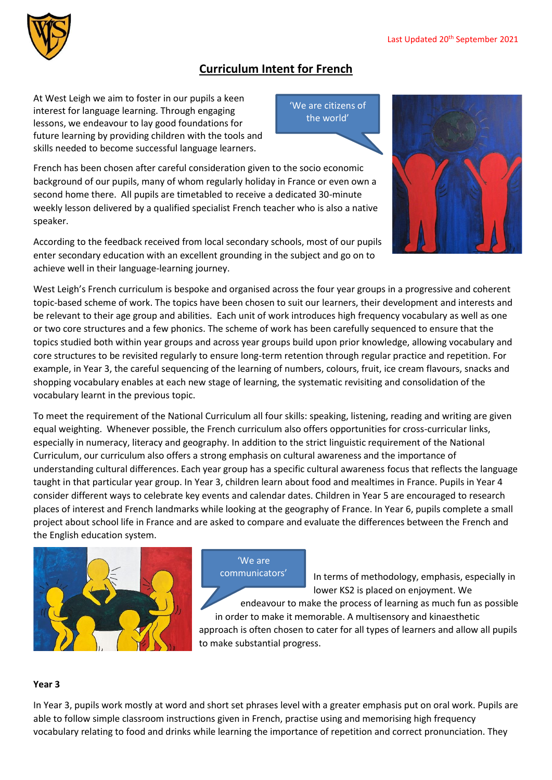# **Curriculum Intent for French**

'We are citizens of the world'

At West Leigh we aim to foster in our pupils a keen interest for language learning. Through engaging lessons, we endeavour to lay good foundations for future learning by providing children with the tools and skills needed to become successful language learners.

French has been chosen after careful consideration given to the socio economic background of our pupils, many of whom regularly holiday in France or even own a second home there. All pupils are timetabled to receive a dedicated 30-minute weekly lesson delivered by a qualified specialist French teacher who is also a native speaker.

According to the feedback received from local secondary schools, most of our pupils enter secondary education with an excellent grounding in the subject and go on to achieve well in their language-learning journey.



West Leigh's French curriculum is bespoke and organised across the four year groups in a progressive and coherent topic-based scheme of work. The topics have been chosen to suit our learners, their development and interests and be relevant to their age group and abilities. Each unit of work introduces high frequency vocabulary as well as one or two core structures and a few phonics. The scheme of work has been carefully sequenced to ensure that the topics studied both within year groups and across year groups build upon prior knowledge, allowing vocabulary and core structures to be revisited regularly to ensure long-term retention through regular practice and repetition. For example, in Year 3, the careful sequencing of the learning of numbers, colours, fruit, ice cream flavours, snacks and shopping vocabulary enables at each new stage of learning, the systematic revisiting and consolidation of the vocabulary learnt in the previous topic.

To meet the requirement of the National Curriculum all four skills: speaking, listening, reading and writing are given equal weighting. Whenever possible, the French curriculum also offers opportunities for cross-curricular links, especially in numeracy, literacy and geography. In addition to the strict linguistic requirement of the National Curriculum, our curriculum also offers a strong emphasis on cultural awareness and the importance of understanding cultural differences. Each year group has a specific cultural awareness focus that reflects the language taught in that particular year group. In Year 3, children learn about food and mealtimes in France. Pupils in Year 4 consider different ways to celebrate key events and calendar dates. Children in Year 5 are encouraged to research places of interest and French landmarks while looking at the geography of France. In Year 6, pupils complete a small project about school life in France and are asked to compare and evaluate the differences between the French and the English education system.



## 'We are communicators'

In terms of methodology, emphasis, especially in lower KS2 is placed on enjoyment. We

endeavour to make the process of learning as much fun as possible in order to make it memorable. A multisensory and kinaesthetic approach is often chosen to cater for all types of learners and allow all pupils to make substantial progress.

### **Year 3**

In Year 3, pupils work mostly at word and short set phrases level with a greater emphasis put on oral work. Pupils are able to follow simple classroom instructions given in French, practise using and memorising high frequency vocabulary relating to food and drinks while learning the importance of repetition and correct pronunciation. They